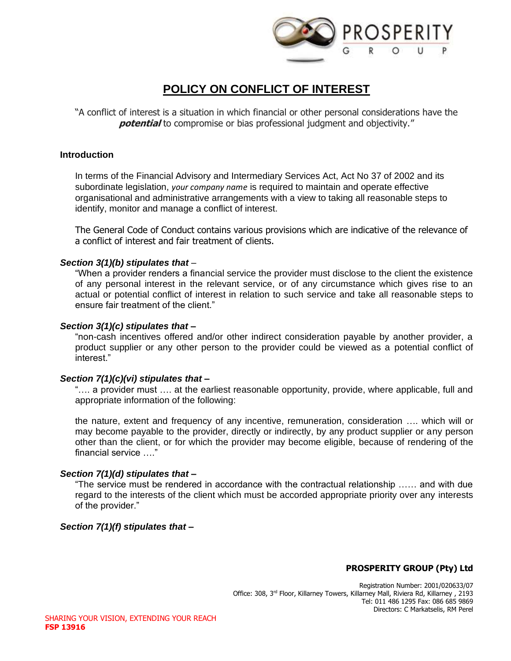

# **POLICY ON CONFLICT OF INTEREST**

"A conflict of interest is a situation in which financial or other personal considerations have the **potential** to compromise or bias professional judgment and objectivity."

#### **Introduction**

In terms of the Financial Advisory and Intermediary Services Act, Act No 37 of 2002 and its subordinate legislation, *your company name* is required to maintain and operate effective organisational and administrative arrangements with a view to taking all reasonable steps to identify, monitor and manage a conflict of interest.

The General Code of Conduct contains various provisions which are indicative of the relevance of a conflict of interest and fair treatment of clients.

## *Section 3(1)(b) stipulates that* –

"When a provider renders a financial service the provider must disclose to the client the existence of any personal interest in the relevant service, or of any circumstance which gives rise to an actual or potential conflict of interest in relation to such service and take all reasonable steps to ensure fair treatment of the client."

## *Section 3(1)(c) stipulates that –*

"non-cash incentives offered and/or other indirect consideration payable by another provider, a product supplier or any other person to the provider could be viewed as a potential conflict of interest."

#### *Section 7(1)(c)(vi) stipulates that –*

"…. a provider must …. at the earliest reasonable opportunity, provide, where applicable, full and appropriate information of the following:

the nature, extent and frequency of any incentive, remuneration, consideration …. which will or may become payable to the provider, directly or indirectly, by any product supplier or any person other than the client, or for which the provider may become eligible, because of rendering of the financial service  $\cdots$ 

# *Section 7(1)(d) stipulates that –*

"The service must be rendered in accordance with the contractual relationship …… and with due regard to the interests of the client which must be accorded appropriate priority over any interests of the provider."

# *Section 7(1)(f) stipulates that –*

# **PROSPERITY GROUP (Pty) Ltd**

Registration Number: 2001/020633/07 Office: 308, 3rd Floor, Killarney Towers, Killarney Mall, Riviera Rd, Killarney , 2193 Tel: 011 486 1295 Fax: 086 685 9869 Directors: C Markatselis, RM Perel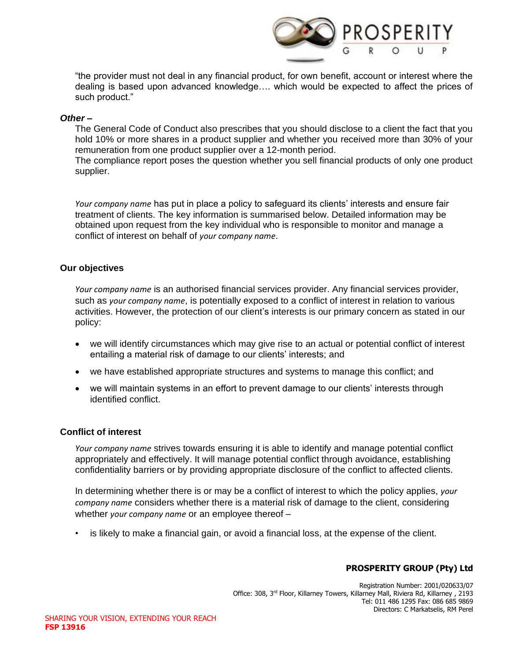

"the provider must not deal in any financial product, for own benefit, account or interest where the dealing is based upon advanced knowledge…. which would be expected to affect the prices of such product."

#### *Other –*

The General Code of Conduct also prescribes that you should disclose to a client the fact that you hold 10% or more shares in a product supplier and whether you received more than 30% of your remuneration from one product supplier over a 12-month period.

The compliance report poses the question whether you sell financial products of only one product supplier.

*Your company name* has put in place a policy to safeguard its clients' interests and ensure fair treatment of clients. The key information is summarised below. Detailed information may be obtained upon request from the key individual who is responsible to monitor and manage a conflict of interest on behalf of *your company name*.

#### **Our objectives**

*Your company name* is an authorised financial services provider. Any financial services provider, such as *your company name*, is potentially exposed to a conflict of interest in relation to various activities. However, the protection of our client's interests is our primary concern as stated in our policy:

- we will identify circumstances which may give rise to an actual or potential conflict of interest entailing a material risk of damage to our clients' interests; and
- we have established appropriate structures and systems to manage this conflict; and
- we will maintain systems in an effort to prevent damage to our clients' interests through identified conflict.

#### **Conflict of interest**

*Your company name* strives towards ensuring it is able to identify and manage potential conflict appropriately and effectively. It will manage potential conflict through avoidance, establishing confidentiality barriers or by providing appropriate disclosure of the conflict to affected clients.

In determining whether there is or may be a conflict of interest to which the policy applies, *your company name* considers whether there is a material risk of damage to the client, considering whether *your company name* or an employee thereof –

• is likely to make a financial gain, or avoid a financial loss, at the expense of the client.

# **PROSPERITY GROUP (Pty) Ltd**

Registration Number: 2001/020633/07 Office: 308, 3rd Floor, Killarney Towers, Killarney Mall, Riviera Rd, Killarney , 2193 Tel: 011 486 1295 Fax: 086 685 9869 Directors: C Markatselis, RM Perel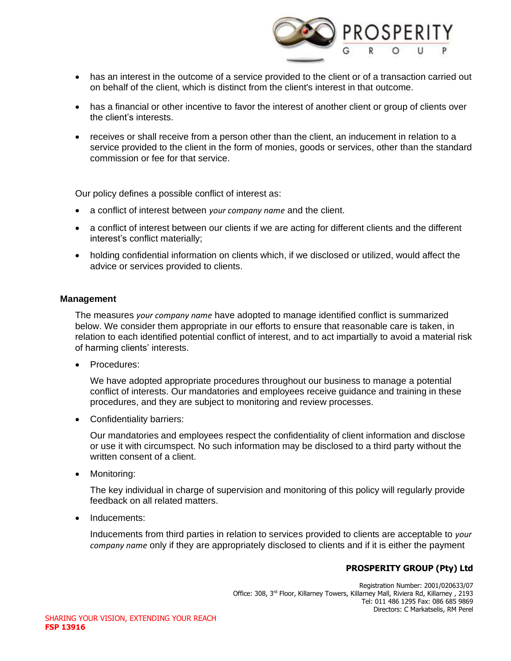

- has an interest in the outcome of a service provided to the client or of a transaction carried out on behalf of the client, which is distinct from the client's interest in that outcome.
- has a financial or other incentive to favor the interest of another client or group of clients over the client's interests.
- receives or shall receive from a person other than the client, an inducement in relation to a service provided to the client in the form of monies, goods or services, other than the standard commission or fee for that service.

Our policy defines a possible conflict of interest as:

- a conflict of interest between *your company name* and the client.
- a conflict of interest between our clients if we are acting for different clients and the different interest's conflict materially;
- holding confidential information on clients which, if we disclosed or utilized, would affect the advice or services provided to clients.

## **Management**

The measures *your company name* have adopted to manage identified conflict is summarized below. We consider them appropriate in our efforts to ensure that reasonable care is taken, in relation to each identified potential conflict of interest, and to act impartially to avoid a material risk of harming clients' interests.

• Procedures:

We have adopted appropriate procedures throughout our business to manage a potential conflict of interests. Our mandatories and employees receive guidance and training in these procedures, and they are subject to monitoring and review processes.

• Confidentiality barriers:

Our mandatories and employees respect the confidentiality of client information and disclose or use it with circumspect. No such information may be disclosed to a third party without the written consent of a client.

• Monitoring:

The key individual in charge of supervision and monitoring of this policy will regularly provide feedback on all related matters.

• Inducements:

Inducements from third parties in relation to services provided to clients are acceptable to *your company name* only if they are appropriately disclosed to clients and if it is either the payment

# **PROSPERITY GROUP (Pty) Ltd**